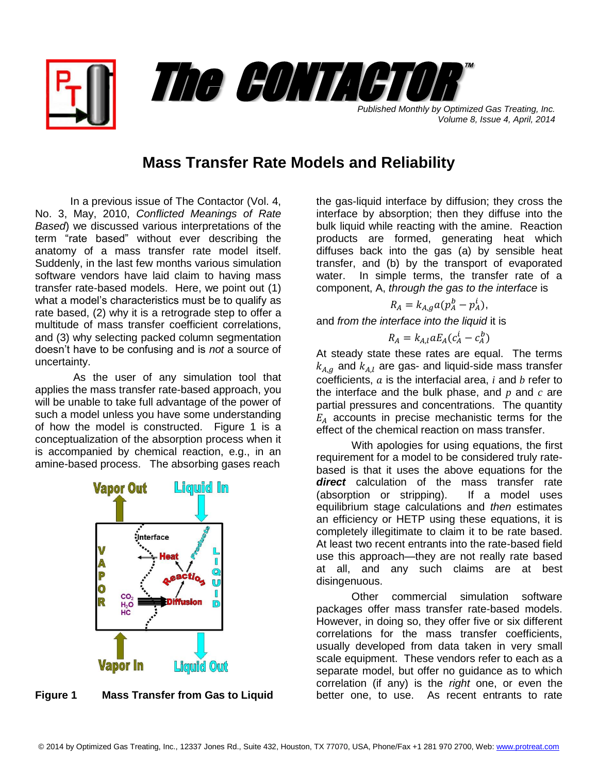

*Volume 8, Issue 4, April, 2014*

## **Mass Transfer Rate Models and Reliability**

In a previous issue of The Contactor (Vol. 4, No. 3, May, 2010, *Conflicted Meanings of Rate Based*) we discussed various interpretations of the term "rate based" without ever describing the anatomy of a mass transfer rate model itself. Suddenly, in the last few months various simulation software vendors have laid claim to having mass transfer rate-based models. Here, we point out (1) what a model's characteristics must be to qualify as rate based, (2) why it is a retrograde step to offer a multitude of mass transfer coefficient correlations, and (3) why selecting packed column segmentation doesn't have to be confusing and is *not* a source of uncertainty.

As the user of any simulation tool that applies the mass transfer rate-based approach, you will be unable to take full advantage of the power of such a model unless you have some understanding of how the model is constructed. Figure 1 is a conceptualization of the absorption process when it is accompanied by chemical reaction, e.g., in an amine-based process. The absorbing gases reach



**Figure 1 Mass Transfer from Gas to Liquid**

the gas-liquid interface by diffusion; they cross the interface by absorption; then they diffuse into the bulk liquid while reacting with the amine. Reaction products are formed, generating heat which diffuses back into the gas (a) by sensible heat transfer, and (b) by the transport of evaporated water. In simple terms, the transfer rate of a component, A, *through the gas to the interface* is

$$
R_A = k_{A,q} a (p_A^b - p_A^i),
$$

and *from the interface into the liquid* it is

$$
R_A = k_{A,l} a E_A (c_A^i - c_A^b)
$$

At steady state these rates are equal. The terms  $k_{A,q}$  and  $k_{A,l}$  are gas- and liquid-side mass transfer coefficients,  $a$  is the interfacial area,  $i$  and  $b$  refer to the interface and the bulk phase, and *p* and *c* are partial pressures and concentrations. The quantity  $E_A$  accounts in precise mechanistic terms for the effect of the chemical reaction on mass transfer.

With apologies for using equations, the first requirement for a model to be considered truly ratebased is that it uses the above equations for the *direct* calculation of the mass transfer rate (absorption or stripping). If a model uses equilibrium stage calculations and *then* estimates an efficiency or HETP using these equations, it is completely illegitimate to claim it to be rate based. At least two recent entrants into the rate-based field use this approach—they are not really rate based at all, and any such claims are at best disingenuous.

Other commercial simulation software packages offer mass transfer rate-based models. However, in doing so, they offer five or six different correlations for the mass transfer coefficients, usually developed from data taken in very small scale equipment. These vendors refer to each as a separate model, but offer no guidance as to which correlation (if any) is the *right* one, or even the better one, to use. As recent entrants to rate